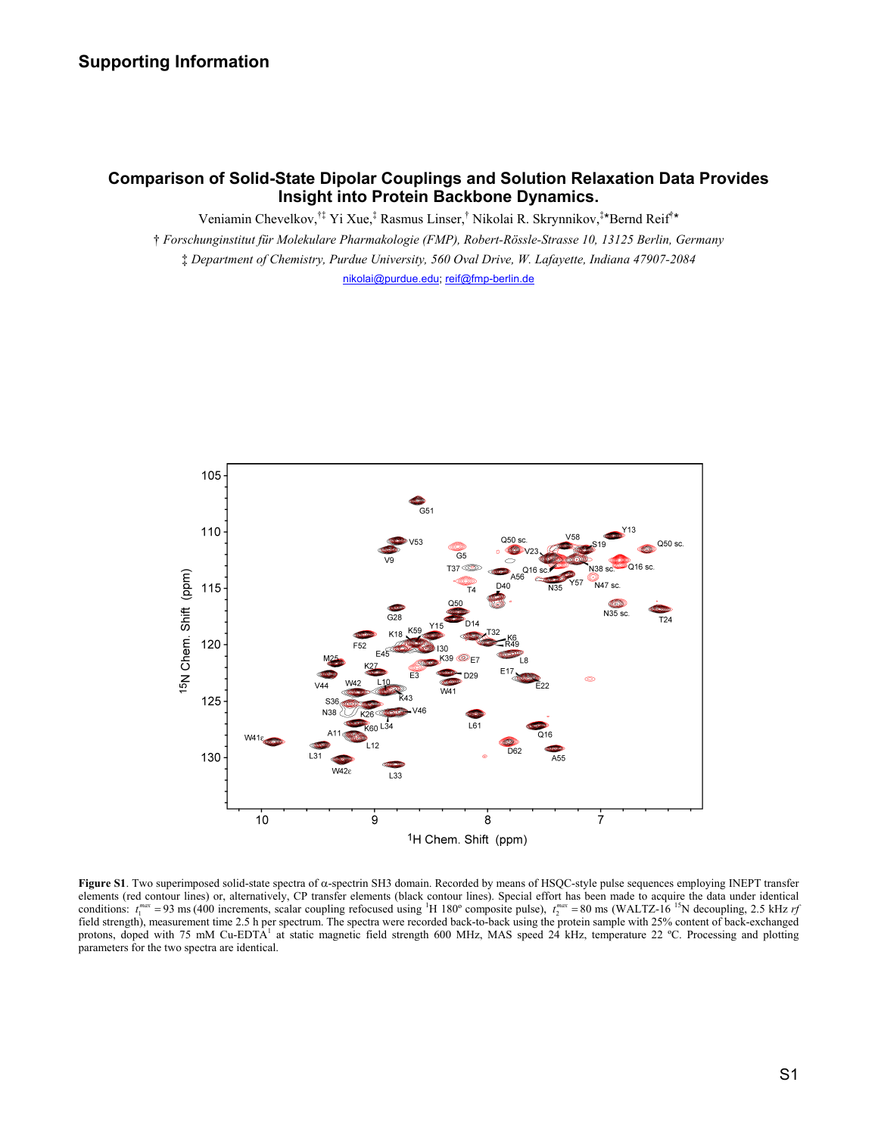# **Comparison of Solid-State Dipolar Couplings and Solution Relaxation Data Provides Insight into Protein Backbone Dynamics.**

Veniamin Chevelkov,<sup>†‡</sup> Yi Xue,<sup>‡</sup> Rasmus Linser,<sup>†</sup> Nikolai R. Skrynnikov,<sup>‡\*</sup>Bernd Reif<sup>\*\*</sup>

† *Forschunginstitut für Molekulare Pharmakologie (FMP), Robert-Rössle-Strasse 10, 13125 Berlin, Germany*  ‡ *Department of Chemistry, Purdue University, 560 Oval Drive, W. Lafayette, Indiana 47907-2084*  nikolai@purdue.edu; reif@fmp-berlin.de



**Figure S1**. Two superimposed solid-state spectra of α-spectrin SH3 domain. Recorded by means of HSQC-style pulse sequences employing INEPT transfer elements (red contour lines) or, alternatively, CP transfer elements (black contour lines). Special effort has been made to acquire the data under identical conditions:  $t_1^{max} = 93$  ms (400 increments, scalar coupling refocused using <sup>1</sup>H 180° composite pulse),  $t_2^{max} = 80$  ms (WALTZ-16<sup>15</sup>N decoupling, 2.5 kHz *rf* field strength), measurement time 2.5 h per spectrum. The spectra were recorded back-to-back using the protein sample with 25% content of back-exchanged protons, doped with 75 mM Cu-EDTA<sup>1</sup> at static magnetic field strength 600 MHz, MAS speed 24 kHz, temperature 22 °C. Processing and plotting parameters for the two spectra are identical.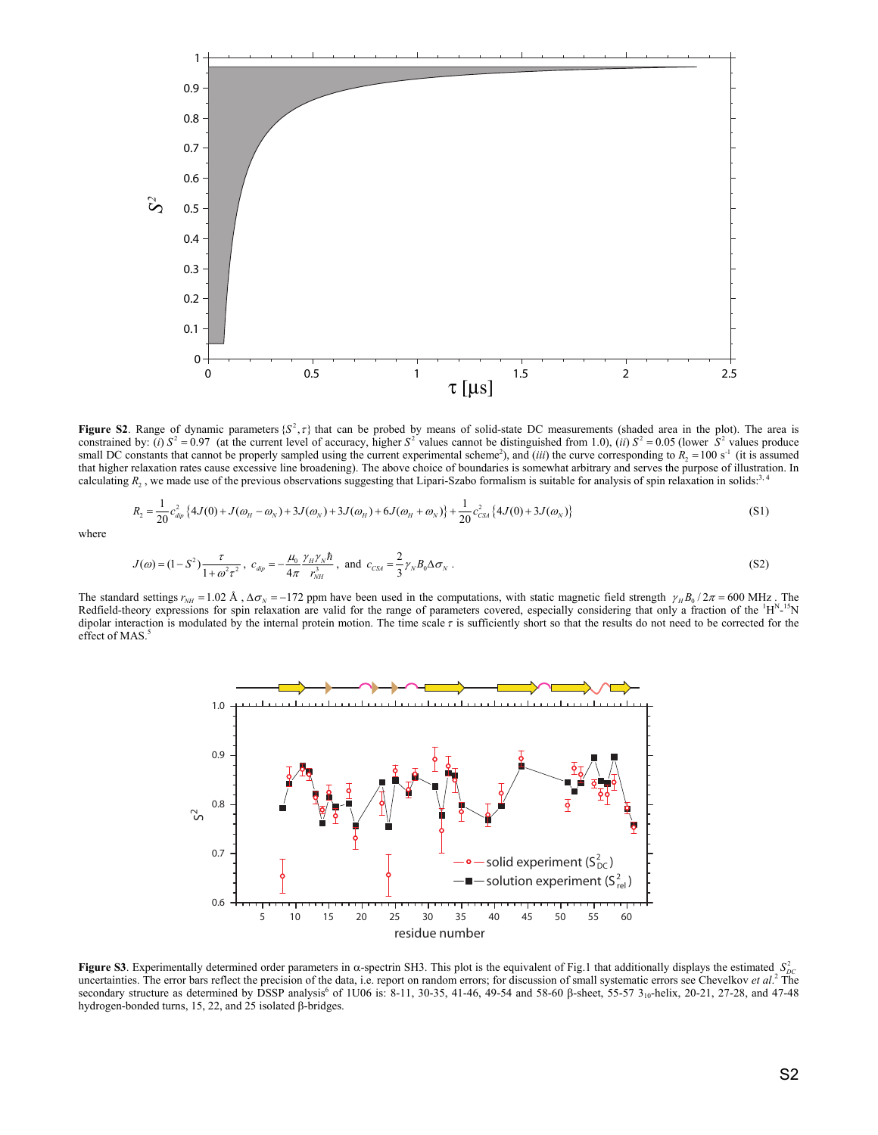

**Figure S2**. Range of dynamic parameters  $\{S^2, \tau\}$  that can be probed by means of solid-state DC measurements (shaded area in the plot). The area is constrained by: (*i*)  $S^2 = 0.97$  (at the current level of accuracy, higher  $S^2$  values cannot be distinguished from 1.0), (*ii*)  $S^2 = 0.05$  (lower  $S^2$  values produce small DC constants that cannot be properly sampled using the current experimental scheme<sup>2</sup>), and (*iii*) the curve corresponding to  $R_2 = 100$  s<sup>-1</sup> (it is assumed that higher relaxation rates cause excessive line broadening). The above choice of boundaries is somewhat arbitrary and serves the purpose of illustration. In calculating  $R_2$ , we made use of the previous observations suggesting that Lipari-Szabo formalism is suitable for analysis of spin relaxation in solids:<sup>3, 4</sup>

$$
R_2 = \frac{1}{20} c_{\alpha p}^2 \{ 4J(0) + J(\omega_H - \omega_N) + 3J(\omega_N) + 3J(\omega_H) + 6J(\omega_H + \omega_N) \} + \frac{1}{20} c_{CSA}^2 \{ 4J(0) + 3J(\omega_N) \}
$$
(S1)

where

$$
J(\omega) = (1 - S^2) \frac{\tau}{1 + \omega^2 \tau^2}, \quad c_{dip} = -\frac{\mu_0}{4\pi} \frac{\gamma_H \gamma_N \hbar}{r_{NH}^3}, \text{ and } c_{CS4} = \frac{2}{3} \gamma_N B_0 \Delta \sigma_N.
$$
 (S2)

The standard settings  $r_{NH} = 1.02 \text{ Å}$ ,  $\Delta \sigma_N = -172 \text{ ppm}$  have been used in the computations, with static magnetic field strength  $\gamma_H B_0 / 2\pi = 600 \text{ MHz}$ . The Redfield-theory expressions for spin relaxation are valid for the range of parameters covered, especially considering that only a fraction of the  ${}^1H^{N-15}N$ dipolar interaction is modulated by the internal protein motion. The time scale  $\tau$  is sufficiently short so that the results do not need to be corrected for the effect of MAS.



**Figure S3**. Experimentally determined order parameters in  $\alpha$ -spectrin SH3. This plot is the equivalent of Fig.1 that additionally displays the estimated  $S^2_{DC}$ uncertainties. The error bars reflect the precision of the data, i.e. report on random errors; for discussion of small systematic errors see Chevelkov *et al.*<sup>2</sup> The secondary structure as determined by DSSP analysis<sup>6</sup> of 1U06 is: 8-11, 30-35, 41-46, 49-54 and 58-60 β-sheet, 55-57 3<sub>10</sub>-helix, 20-21, 27-28, and 47-48 hydrogen-bonded turns, 15, 22, and 25 isolated β-bridges.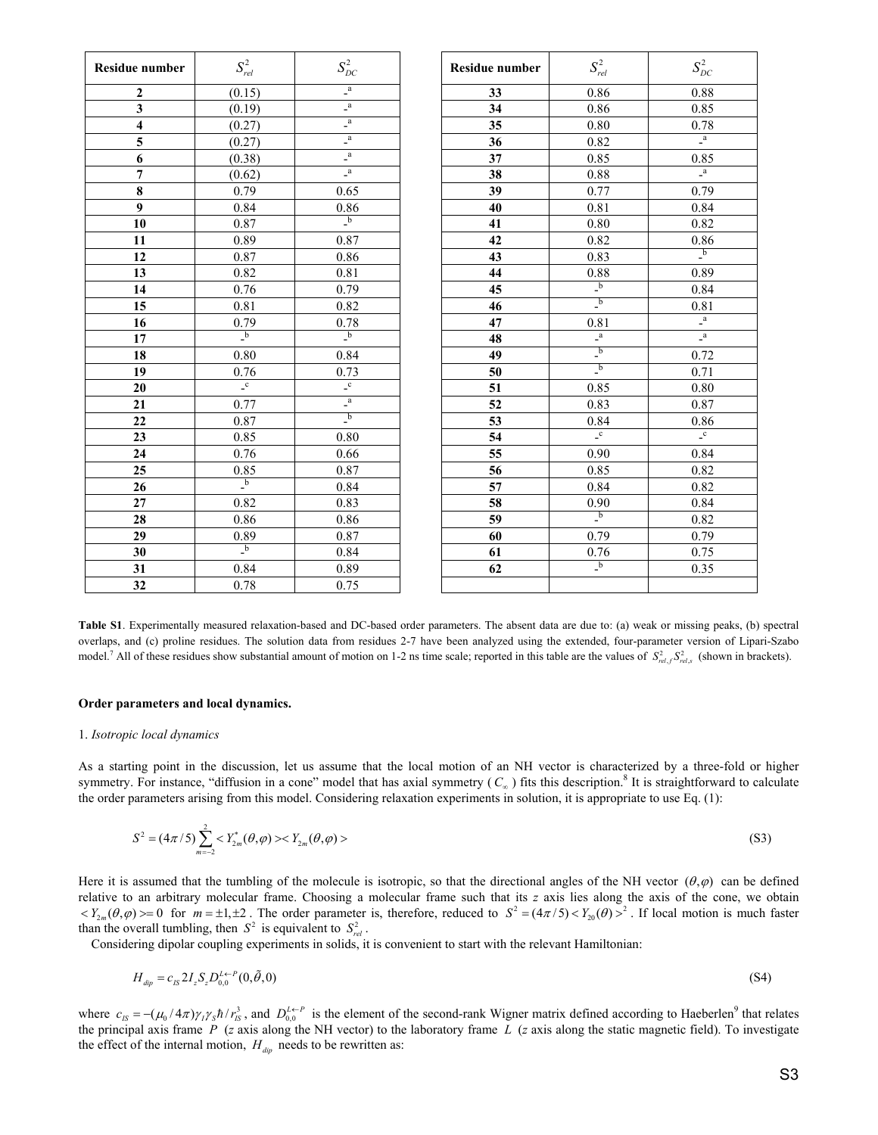| <b>Residue number</b>   | $S^2_{\it rel}$                         | $S^2_{\scriptscriptstyle DC}$                        | <b>Residue number</b> | $S_{rel}^2$                                          | $S^2_{\scriptscriptstyle DC}$          |
|-------------------------|-----------------------------------------|------------------------------------------------------|-----------------------|------------------------------------------------------|----------------------------------------|
| 2                       | (0.15)                                  | $\mathsf{L}^\mathrm{a}$                              | 33                    | 0.86                                                 | 0.88                                   |
| 3                       | (0.19)                                  | $\overline{a}$                                       | 34                    | 0.86                                                 | 0.85                                   |
| $\overline{\mathbf{4}}$ | (0.27)                                  | $\overline{a}$                                       | 35                    | 0.80                                                 | 0.78                                   |
| 5                       | (0.27)                                  | $\overline{a}$                                       | $\overline{36}$       | 0.82                                                 | $\overline{a}$                         |
| 6                       | (0.38)                                  | $\overline{a}$                                       | 37                    | 0.85                                                 | 0.85                                   |
| $\overline{7}$          | (0.62)                                  | $\sqrt{a}$                                           | 38                    | 0.88                                                 | $\mathbf{a}$                           |
| 8                       | 0.79                                    | 0.65                                                 | 39                    | 0.77                                                 | 0.79                                   |
| 9                       | 0.84                                    | 0.86                                                 | 40                    | 0.81                                                 | 0.84                                   |
| 10                      | 0.87                                    | $\overline{\phantom{a}}^{\phantom{a}}$               | 41                    | 0.80                                                 | 0.82                                   |
| 11                      | 0.89                                    | 0.87                                                 | 42                    | 0.82                                                 | 0.86                                   |
| 12                      | $0.87\,$                                | 0.86                                                 | 43                    | 0.83                                                 | $\overline{\phantom{a}}^{\phantom{a}}$ |
| 13                      | 0.82                                    | 0.81                                                 | 44                    | 0.88                                                 | 0.89                                   |
| 14                      | 0.76                                    | 0.79                                                 | 45                    | $\overline{\phantom{a}}^{\phantom{a}b}$              | 0.84                                   |
| 15                      | 0.81                                    | 0.82                                                 | 46                    | $\overline{\phantom{a}}^{\phantom{a}}$               | 0.81                                   |
| 16                      | 0.79                                    | 0.78                                                 | 47                    | 0.81                                                 | $\mathbf{a}$                           |
| 17                      | $\frac{1}{b}$                           | $\overline{\phantom{a}}^{\phantom{a}}_{\phantom{a}}$ | 48                    | $\overline{\phantom{a}}^a$                           | $\overline{\phantom{a}}^a$             |
| 18                      | 0.80                                    | 0.84                                                 | 49                    | $\overline{\phantom{a}}^{\phantom{a}}$               | 0.72                                   |
| 19                      | 0.76                                    | 0.73                                                 | 50                    | $\overline{\phantom{a}}^{\phantom{a}}$               | 0.71                                   |
| 20                      | $\overline{\phantom{a}}^c$              | $\mathbf{c}$                                         | 51                    | 0.85                                                 | 0.80                                   |
| 21                      | 0.77                                    | $\overline{a}$                                       | 52                    | 0.83                                                 | 0.87                                   |
| 22                      | 0.87                                    | $\mathbf{b}$                                         | 53                    | 0.84                                                 | 0.86                                   |
| 23                      | 0.85                                    | 0.80                                                 | 54                    | $\overline{\phantom{a}}^c$                           | $\mathbf{c}$                           |
| 24                      | 0.76                                    | 0.66                                                 | 55                    | 0.90                                                 | 0.84                                   |
| $\overline{25}$         | 0.85                                    | 0.87                                                 | 56                    | 0.85                                                 | 0.82                                   |
| 26                      | $\overline{\phantom{a}}^{\phantom{a}b}$ | 0.84                                                 | 57                    | 0.84                                                 | 0.82                                   |
| 27                      | 0.82                                    | 0.83                                                 | $\overline{58}$       | 0.90                                                 | 0.84                                   |
| 28                      | 0.86                                    | 0.86                                                 | 59                    | $\overline{\phantom{a}}^{\phantom{a}}_{\phantom{a}}$ | 0.82                                   |
| $\overline{29}$         | 0.89                                    | 0.87                                                 | $\overline{60}$       | 0.79                                                 | 0.79                                   |
| 30                      | $\overline{\phantom{a}}^{\phantom{a}b}$ | 0.84                                                 | 61                    | 0.76                                                 | 0.75                                   |
| 31                      | 0.84                                    | 0.89                                                 | 62                    | $\overline{\phantom{a}}^{\phantom{a}}$               | 0.35                                   |
| 32                      | 0.78                                    | 0.75                                                 |                       |                                                      |                                        |

**Table S1**. Experimentally measured relaxation-based and DC-based order parameters. The absent data are due to: (a) weak or missing peaks, (b) spectral overlaps, and (c) proline residues. The solution data from residues 2-7 have been analyzed using the extended, four-parameter version of Lipari-Szabo model.<sup>7</sup> All of these residues show substantial amount of motion on 1-2 ns time scale; reported in this table are the values of  $S_{rel,f}^{2}S_{rel,s}^{2}$  (shown in brackets).

# **Order parameters and local dynamics.**

#### 1. *Isotropic local dynamics*

As a starting point in the discussion, let us assume that the local motion of an NH vector is characterized by a three-fold or higher symmetry. For instance, "diffusion in a cone" model that has axial symmetry  $(C_\infty)$  fits this description.<sup>8</sup> It is straightforward to calculate the order parameters arising from this model. Considering relaxation experiments in solution, it is appropriate to use Eq. (1):

$$
S^{2} = (4\pi/5) \sum_{m=-2}^{2} < Y_{2m}^{*}(\theta, \varphi) > < Y_{2m}(\theta, \varphi) >
$$
\n(S3)

Here it is assumed that the tumbling of the molecule is isotropic, so that the directional angles of the NH vector  $(\theta, \varphi)$  can be defined relative to an arbitrary molecular frame. Choosing a molecular frame such that its *z* axis lies along the axis of the cone, we obtain  $\langle Y_{2m}(\theta,\varphi)\rangle = 0$  for  $m = \pm 1, \pm 2$ . The order parameter is, therefore, reduced to  $S^2 = (4\pi/5) \langle Y_{20}(\theta) \rangle^2$ . If local motion is much faster than the overall tumbling, then  $S^2$  is equivalent to  $S^2_{rel}$ .

Considering dipolar coupling experiments in solids, it is convenient to start with the relevant Hamiltonian:

$$
H_{\text{dip}} = c_{IS} 2I_z S_z D_{0,0}^{L \leftarrow P} (0, \tilde{\theta}, 0) \tag{S4}
$$

where  $c_{IS} = -(\mu_0 / 4\pi) \gamma_I \gamma_S \hbar / r_{IS}^3$ , and  $D_{0,0}^{L \leftarrow P}$  is the element of the second-rank Wigner matrix defined according to Haeberlen<sup>9</sup> that relates the principal axis frame *P* (*z* axis along the NH vector) to the laboratory frame *L* (*z* axis along the static magnetic field). To investigate the effect of the internal motion,  $H_{\text{dip}}$  needs to be rewritten as: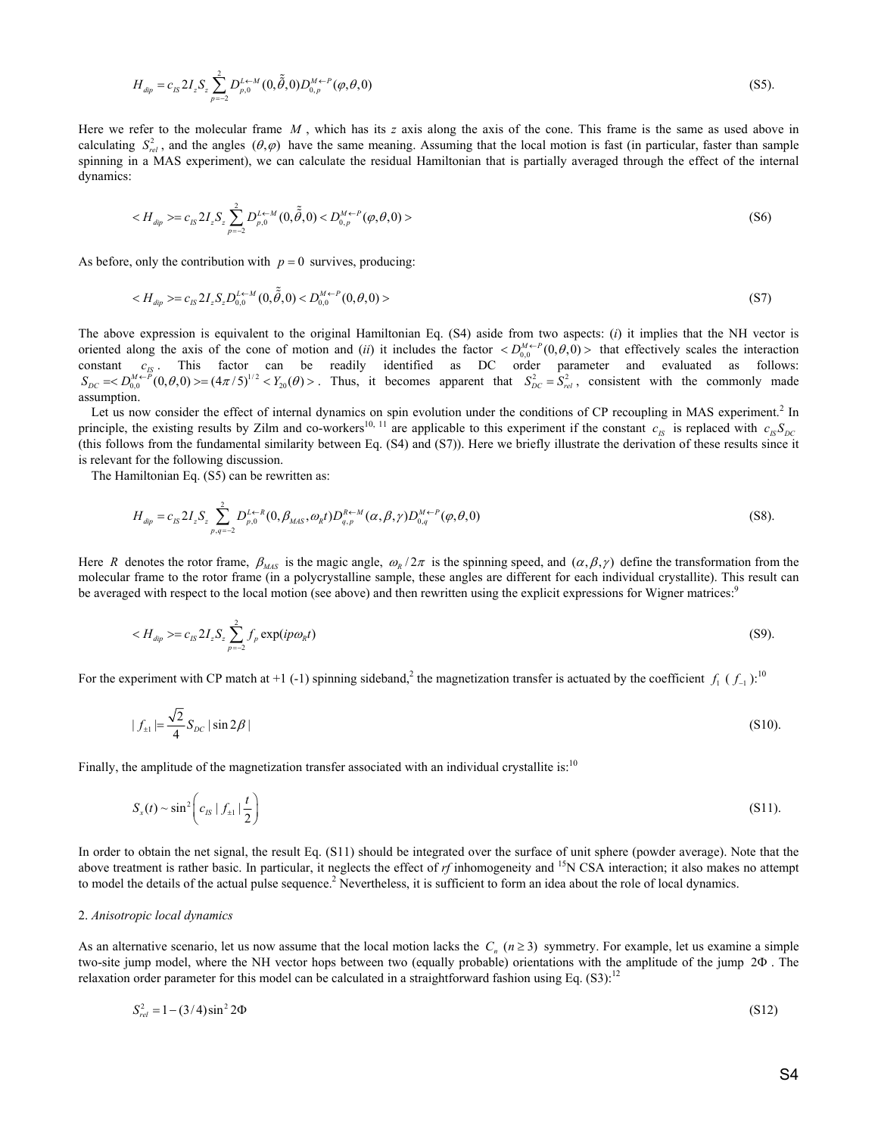$$
H_{\text{dip}} = c_{IS} 2I_z S_z \sum_{p=-2}^{2} D_{p,0}^{L \leftarrow M} (0, \tilde{\tilde{\theta}}, 0) D_{0,p}^{M \leftarrow P} (\varphi, \theta, 0)
$$
\n(S5).

Here we refer to the molecular frame *M* , which has its *z* axis along the axis of the cone. This frame is the same as used above in calculating  $S_{rel}^2$ , and the angles  $(\theta, \varphi)$  have the same meaning. Assuming that the local motion is fast (in particular, faster than sample spinning in a MAS experiment), we can calculate the residual Hamiltonian that is partially averaged through the effect of the internal dynamics:

$$
\langle H_{\text{dip}} \rangle = c_{I_S} 2 I_z S_z \sum_{p=-2}^2 D_{p,0}^{I \leftarrow M} (0, \tilde{\tilde{\theta}}, 0) \langle D_{0,p}^{M \leftarrow P} (\varphi, \theta, 0) \rangle \tag{S6}
$$

As before, only the contribution with  $p = 0$  survives, producing:

$$
\langle H_{\text{dip}} \rangle = c_{IS} 2I_z S_z D_{0,0}^{L \leftarrow M} (0, \tilde{\tilde{\theta}}, 0) \langle D_{0,0}^{M \leftarrow P} (0, \theta, 0) \rangle \tag{S7}
$$

The above expression is equivalent to the original Hamiltonian Eq. (S4) aside from two aspects: (*i*) it implies that the NH vector is oriented along the axis of the cone of motion and (*ii*) it includes the factor  $D_{00}^{M \leftarrow P}(0, \theta, 0)$  b that effectively scales the interaction constant  $c_{1S}$ . This factor can be readily identified as DC order parameter and evaluated as follows:<br>  $S_{DC} \approx D_{0,0}^{M \leftarrow P} (0,\theta,0) \approx (4\pi/5)^{1/2} \lt Y_{20}(\theta) >$ . Thus, it becomes apparent that  $S_{DC}^2 = S_{rel}^2$ , consistent wi assumption.

Let us now consider the effect of internal dynamics on spin evolution under the conditions of CP recoupling in MAS experiment.<sup>2</sup> In principle, the existing results by Zilm and co-workers<sup>10, 11</sup> are applicable to this experiment if the constant  $c_{IS}$  is replaced with  $c_{IS}S_{DC}$ (this follows from the fundamental similarity between Eq. (S4) and (S7)). Here we briefly illustrate the derivation of these results since it is relevant for the following discussion.

The Hamiltonian Eq. (S5) can be rewritten as:

$$
H_{\text{dip}} = c_{IS} 2I_z S_z \sum_{p,q=-2}^{2} D_{p,0}^{L \leftarrow R} (0, \beta_{MAS}, \omega_R t) D_{q,p}^{R \leftarrow M} (\alpha, \beta, \gamma) D_{0,q}^{M \leftarrow P} (\varphi, \theta, 0)
$$
(S8).

Here *R* denotes the rotor frame,  $\beta_{MAS}$  is the magic angle,  $\omega_R/2\pi$  is the spinning speed, and  $(\alpha, \beta, \gamma)$  define the transformation from the molecular frame to the rotor frame (in a polycrystalline sample, these angles are different for each individual crystallite). This result can be averaged with respect to the local motion (see above) and then rewritten using the explicit expressions for Wigner matrices:<sup>9</sup>

$$
\langle H_{\text{dip}} \rangle = c_{IS} 2I_z S_z \sum_{p=-2}^{2} f_p \exp(ip\omega_R t) \tag{S9}
$$

For the experiment with CP match at +1 (-1) spinning sideband,<sup>2</sup> the magnetization transfer is actuated by the coefficient  $f_1 (f_{-1})$ :<sup>10</sup>

$$
|f_{\pm}| = \frac{\sqrt{2}}{4} S_{DC} |\sin 2\beta|
$$
 (S10).

Finally, the amplitude of the magnetization transfer associated with an individual crystallite is:<sup>10</sup>

$$
S_x(t) \sim \sin^2\left(c_{1S} \mid f_{\pm 1} \mid \frac{t}{2}\right) \tag{S11}.
$$

In order to obtain the net signal, the result Eq. (S11) should be integrated over the surface of unit sphere (powder average). Note that the above treatment is rather basic. In particular, it neglects the effect of *rf* inhomogeneity and <sup>15</sup>N CSA interaction; it also makes no attempt to model the details of the actual pulse sequence.<sup>2</sup> Nevertheless, it is sufficient to form an idea about the role of local dynamics.

# 2. *Anisotropic local dynamics*

As an alternative scenario, let us now assume that the local motion lacks the  $C_n$  ( $n \ge 3$ ) symmetry. For example, let us examine a simple two-site jump model, where the NH vector hops between two (equally probable) orientations with the amplitude of the jump 2Φ . The relaxation order parameter for this model can be calculated in a straightforward fashion using Eq.  $(S3)$ :<sup>12</sup>

$$
S_{rel}^2 = 1 - (3/4)\sin^2 2\Phi
$$
 (S12)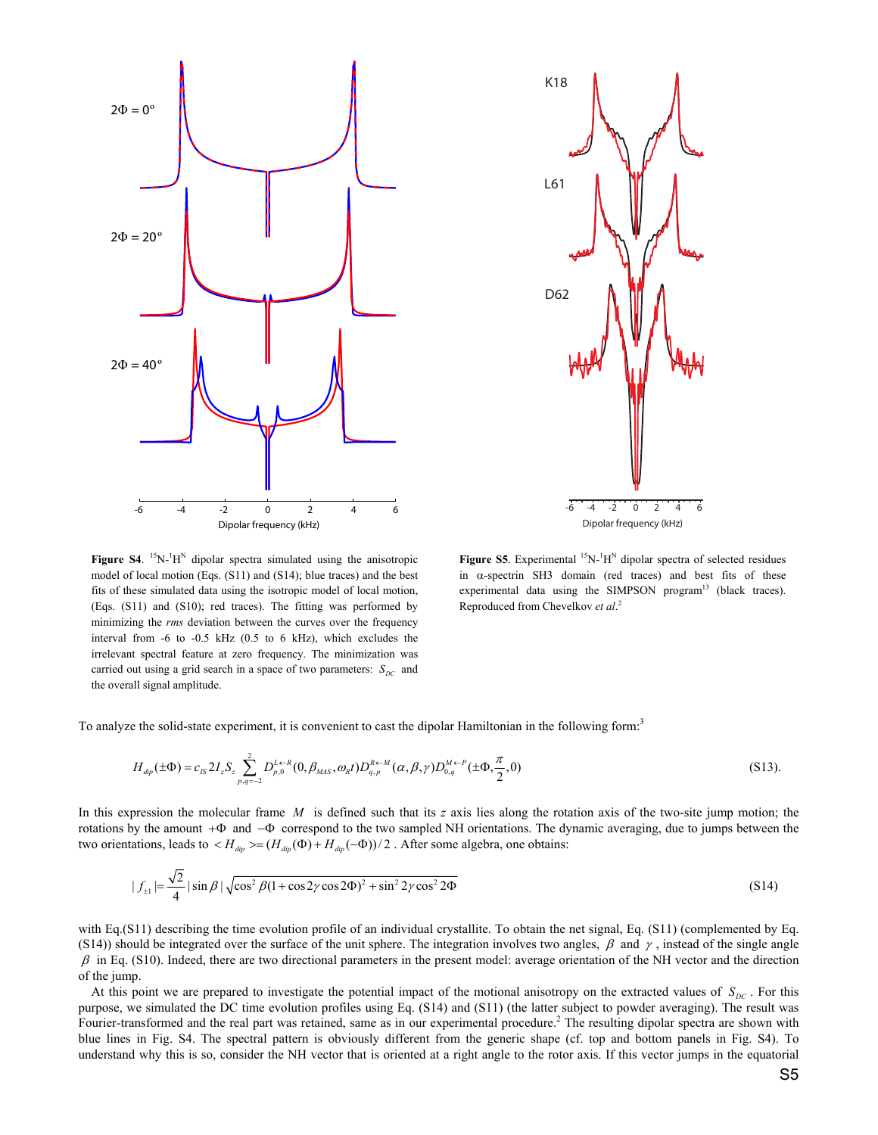

-6 -4 -2 0 2 4 6 D62 L61 K18

Dipolar frequency (kHz)

**Figure S4.** <sup>15</sup>N-<sup>1</sup>H<sup>N</sup> dipolar spectra simulated using the anisotropic model of local motion (Eqs. (S11) and (S14); blue traces) and the best fits of these simulated data using the isotropic model of local motion, (Eqs. (S11) and (S10); red traces). The fitting was performed by minimizing the *rms* deviation between the curves over the frequency interval from -6 to -0.5 kHz (0.5 to 6 kHz), which excludes the irrelevant spectral feature at zero frequency. The minimization was carried out using a grid search in a space of two parameters:  $S_{DC}$  and the overall signal amplitude.

**Figure S5**. Experimental  ${}^{15}N$ - ${}^{1}H^{N}$  dipolar spectra of selected residues in  $\alpha$ -spectrin SH3 domain (red traces) and best fits of these experimental data using the SIMPSON program $13$  (black traces). Reproduced from Chevelkov *et al*. 2

To analyze the solid-state experiment, it is convenient to cast the dipolar Hamiltonian in the following form.<sup>3</sup>

$$
H_{\text{dip}}(\pm \Phi) = c_{IS} 2I_z S_z \sum_{p,q=-2}^2 D_{p,0}^{I \leftarrow R} (0, \beta_{MAS}, \omega_R t) D_{q,p}^{R \leftarrow M} (\alpha, \beta, \gamma) D_{0,q}^{M \leftarrow P} (\pm \Phi, \frac{\pi}{2}, 0)
$$
(S13).

In this expression the molecular frame *M* is defined such that its *z* axis lies along the rotation axis of the two-site jump motion; the rotations by the amount +Φ and −Φ correspond to the two sampled NH orientations. The dynamic averaging, due to jumps between the two orientations, leads to  $\langle H_{\text{dip}} \rangle = (H_{\text{dip}}(\Phi) + H_{\text{dip}}(-\Phi))/2$ . After some algebra, one obtains:

$$
|f_{\pm}| = \frac{\sqrt{2}}{4} |\sin \beta| \sqrt{\cos^2 \beta (1 + \cos 2\gamma \cos 2\Phi)^2 + \sin^2 2\gamma \cos^2 2\Phi}
$$
 (S14)

with Eq.(S11) describing the time evolution profile of an individual crystallite. To obtain the net signal, Eq. (S11) (complemented by Eq. (S14)) should be integrated over the surface of the unit sphere. The integration involves two angles,  $\beta$  and  $\gamma$ , instead of the single angle  $\beta$  in Eq. (S10). Indeed, there are two directional parameters in the present model: average orientation of the NH vector and the direction of the jump.

At this point we are prepared to investigate the potential impact of the motional anisotropy on the extracted values of  $S_{DC}$ . For this purpose, we simulated the DC time evolution profiles using Eq. (S14) and (S11) (the latter subject to powder averaging). The result was Fourier-transformed and the real part was retained, same as in our experimental procedure.<sup>2</sup> The resulting dipolar spectra are shown with blue lines in Fig. S4. The spectral pattern is obviously different from the generic shape (cf. top and bottom panels in Fig. S4). To understand why this is so, consider the NH vector that is oriented at a right angle to the rotor axis. If this vector jumps in the equatorial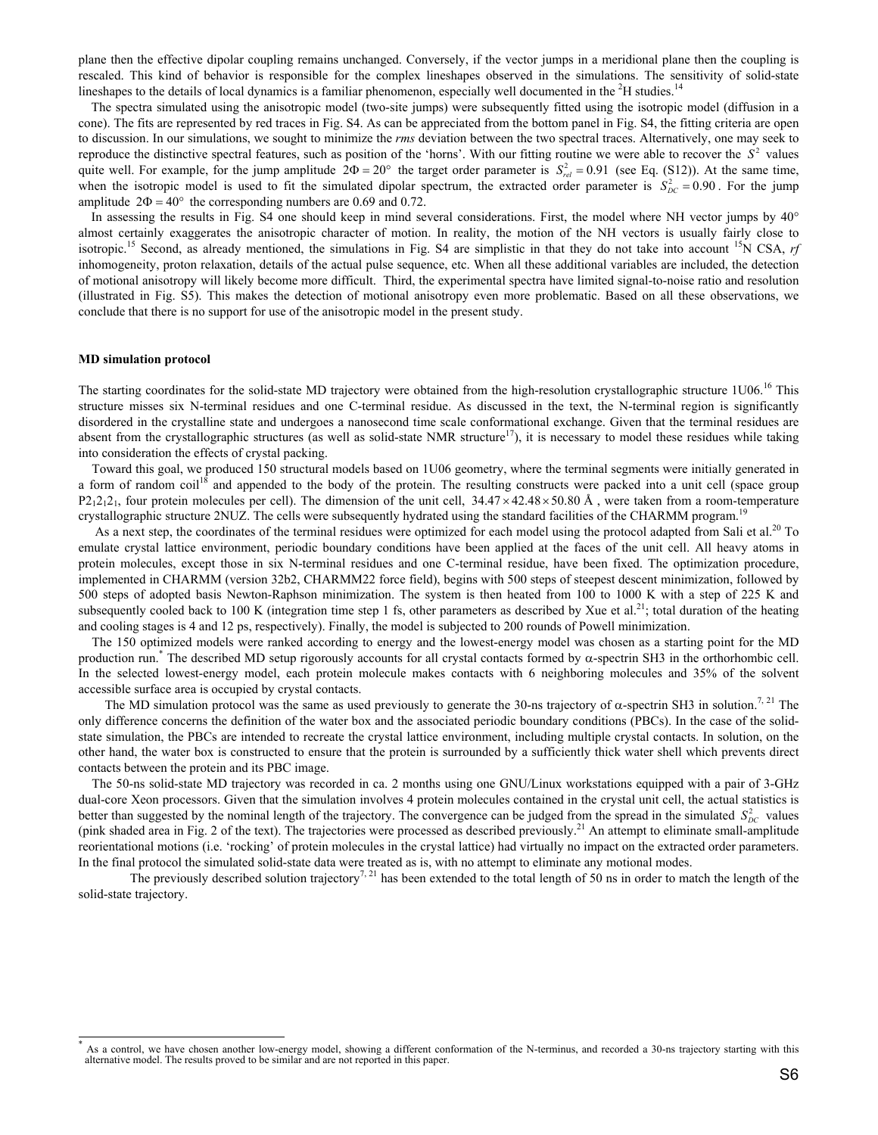plane then the effective dipolar coupling remains unchanged. Conversely, if the vector jumps in a meridional plane then the coupling is rescaled. This kind of behavior is responsible for the complex lineshapes observed in the simulations. The sensitivity of solid-state lineshapes to the details of local dynamics is a familiar phenomenon, especially well documented in the  ${}^{2}H$  studies.<sup>14</sup>

The spectra simulated using the anisotropic model (two-site jumps) were subsequently fitted using the isotropic model (diffusion in a cone). The fits are represented by red traces in Fig. S4. As can be appreciated from the bottom panel in Fig. S4, the fitting criteria are open to discussion. In our simulations, we sought to minimize the *rms* deviation between the two spectral traces. Alternatively, one may seek to reproduce the distinctive spectral features, such as position of the 'horns'. With our fitting routine we were able to recover the  $S<sup>2</sup>$  values quite well. For example, for the jump amplitude  $2\Phi = 20^\circ$  the target order parameter is  $S_{rel}^2 = 0.91$  (see Eq. (S12)). At the same time, when the isotropic model is used to fit the simulated dipolar spectrum, the extracted order parameter is  $S_{DC}^2 = 0.90$ . For the jump amplitude  $2\Phi = 40^{\circ}$  the corresponding numbers are 0.69 and 0.72.

In assessing the results in Fig. S4 one should keep in mind several considerations. First, the model where NH vector jumps by 40° almost certainly exaggerates the anisotropic character of motion. In reality, the motion of the NH vectors is usually fairly close to isotropic.<sup>15</sup> Second, as already mentioned, the simulations in Fig. S4 are simplistic in that they do not take into account <sup>15</sup>N CSA, *rf* inhomogeneity, proton relaxation, details of the actual pulse sequence, etc. When all these additional variables are included, the detection of motional anisotropy will likely become more difficult. Third, the experimental spectra have limited signal-to-noise ratio and resolution (illustrated in Fig. S5). This makes the detection of motional anisotropy even more problematic. Based on all these observations, we conclude that there is no support for use of the anisotropic model in the present study.

# **MD simulation protocol**

 $\overline{\phantom{a}}$ 

The starting coordinates for the solid-state MD trajectory were obtained from the high-resolution crystallographic structure 1U06.<sup>16</sup> This structure misses six N-terminal residues and one C-terminal residue. As discussed in the text, the N-terminal region is significantly disordered in the crystalline state and undergoes a nanosecond time scale conformational exchange. Given that the terminal residues are absent from the crystallographic structures (as well as solid-state NMR structure<sup>17</sup>), it is necessary to model these residues while taking into consideration the effects of crystal packing.

Toward this goal, we produced 150 structural models based on 1U06 geometry, where the terminal segments were initially generated in a form of random coil<sup>18</sup> and appended to the body of the protein. The resulting constructs were packed into a unit cell (space group  $P2_12_12_1$ , four protein molecules per cell). The dimension of the unit cell,  $34.47 \times 42.48 \times 50.80$  Å, were taken from a room-temperature crystallographic structure 2NUZ. The cells were subsequently hydrated using the standard facilities of the CHARMM program.<sup>19</sup>

As a next step, the coordinates of the terminal residues were optimized for each model using the protocol adapted from Sali et al.<sup>20</sup> To emulate crystal lattice environment, periodic boundary conditions have been applied at the faces of the unit cell. All heavy atoms in protein molecules, except those in six N-terminal residues and one C-terminal residue, have been fixed. The optimization procedure, implemented in CHARMM (version 32b2, CHARMM22 force field), begins with 500 steps of steepest descent minimization, followed by 500 steps of adopted basis Newton-Raphson minimization. The system is then heated from 100 to 1000 K with a step of 225 K and subsequently cooled back to 100 K (integration time step 1 fs, other parameters as described by Xue et al.<sup>21</sup>; total duration of the heating and cooling stages is 4 and 12 ps, respectively). Finally, the model is subjected to 200 rounds of Powell minimization.

The 150 optimized models were ranked according to energy and the lowest-energy model was chosen as a starting point for the MD production run.<sup>\*</sup> The described MD setup rigorously accounts for all crystal contacts formed by  $\alpha$ -spectrin SH3 in the orthorhombic cell. In the selected lowest-energy model, each protein molecule makes contacts with 6 neighboring molecules and 35% of the solvent accessible surface area is occupied by crystal contacts.

The MD simulation protocol was the same as used previously to generate the 30-ns trajectory of  $\alpha$ -spectrin SH3 in solution.<sup>7, 21</sup> The only difference concerns the definition of the water box and the associated periodic boundary conditions (PBCs). In the case of the solidstate simulation, the PBCs are intended to recreate the crystal lattice environment, including multiple crystal contacts. In solution, on the other hand, the water box is constructed to ensure that the protein is surrounded by a sufficiently thick water shell which prevents direct contacts between the protein and its PBC image.

The 50-ns solid-state MD trajectory was recorded in ca. 2 months using one GNU/Linux workstations equipped with a pair of 3-GHz dual-core Xeon processors. Given that the simulation involves 4 protein molecules contained in the crystal unit cell, the actual statistics is better than suggested by the nominal length of the trajectory. The convergence can be judged from the spread in the simulated  $S_{DC}^2$  values (pink shaded area in Fig. 2 of the text). The trajectories were processed as described previously.<sup>21</sup> An attempt to eliminate small-amplitude reorientational motions (i.e. 'rocking' of protein molecules in the crystal lattice) had virtually no impact on the extracted order parameters. In the final protocol the simulated solid-state data were treated as is, with no attempt to eliminate any motional modes.

The previously described solution trajectory<sup>7, 21</sup> has been extended to the total length of 50 ns in order to match the length of the solid-state trajectory.

<sup>\*</sup> As a control, we have chosen another low-energy model, showing a different conformation of the N-terminus, and recorded a 30-ns trajectory starting with this alternative model. The results proved to be similar and are not reported in this paper.